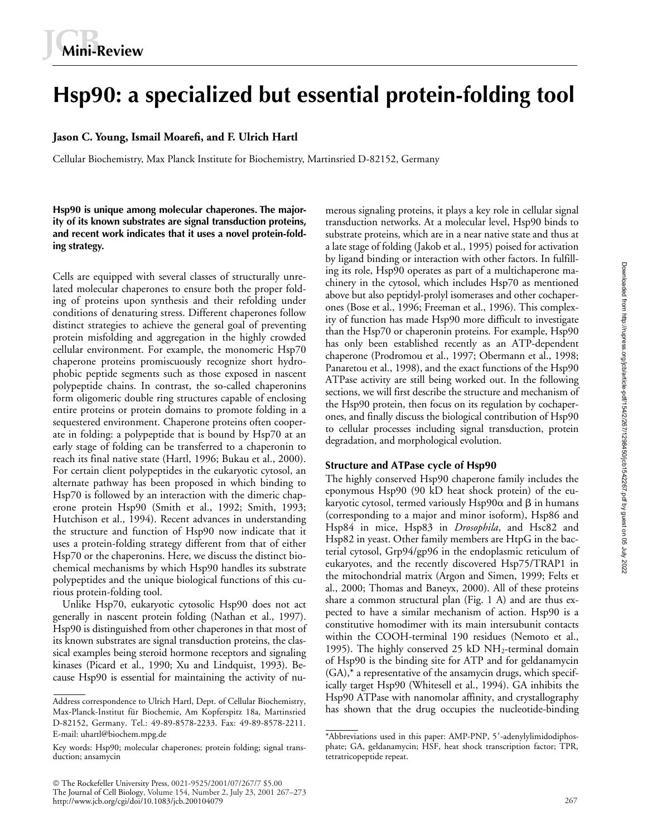# **Hsp90: a specialized but essential protein-folding tool**

### **Jason C. Young, Ismail Moarefi, and F. Ulrich Hartl**

Cellular Biochemistry, Max Planck Institute for Biochemistry, Martinsried D-82152, Germany

**Hsp90 is unique among molecular chaperones. The majority of its known substrates are signal transduction proteins, and recent work indicates that it uses a novel protein-folding strategy.**

Cells are equipped with several classes of structurally unrelated molecular chaperones to ensure both the proper folding of proteins upon synthesis and their refolding under conditions of denaturing stress. Different chaperones follow distinct strategies to achieve the general goal of preventing protein misfolding and aggregation in the highly crowded cellular environment. For example, the monomeric Hsp70 chaperone proteins promiscuously recognize short hydrophobic peptide segments such as those exposed in nascent polypeptide chains. In contrast, the so-called chaperonins form oligomeric double ring structures capable of enclosing entire proteins or protein domains to promote folding in a sequestered environment. Chaperone proteins often cooperate in folding: a polypeptide that is bound by Hsp70 at an early stage of folding can be transferred to a chaperonin to reach its final native state (Hartl, 1996; Bukau et al., 2000). For certain client polypeptides in the eukaryotic cytosol, an alternate pathway has been proposed in which binding to Hsp70 is followed by an interaction with the dimeric chaperone protein Hsp90 (Smith et al., 1992; Smith, 1993; Hutchison et al., 1994). Recent advances in understanding the structure and function of Hsp90 now indicate that it uses a protein-folding strategy different from that of either Hsp70 or the chaperonins. Here, we discuss the distinct biochemical mechanisms by which Hsp90 handles its substrate polypeptides and the unique biological functions of this curious protein-folding tool.

Unlike Hsp70, eukaryotic cytosolic Hsp90 does not act generally in nascent protein folding (Nathan et al., 1997). Hsp90 is distinguished from other chaperones in that most of its known substrates are signal transduction proteins, the classical examples being steroid hormone receptors and signaling kinases (Picard et al., 1990; Xu and Lindquist, 1993). Because Hsp90 is essential for maintaining the activity of nu-

 The Rockefeller University Press, 0021-9525/2001/07/267/7 \$5.00 The Journal of Cell Biology, Volume 154, Number 2, July 23, 2001 267–273 http://www.jcb.org/cgi/doi/10.1083/jcb.200104079 267

merous signaling proteins, it plays a key role in cellular signal transduction networks. At a molecular level, Hsp90 binds to substrate proteins, which are in a near native state and thus at a late stage of folding (Jakob et al., 1995) poised for activation by ligand binding or interaction with other factors. In fulfilling its role, Hsp90 operates as part of a multichaperone machinery in the cytosol, which includes Hsp70 as mentioned above but also peptidyl-prolyl isomerases and other cochaperones (Bose et al., 1996; Freeman et al., 1996). This complexity of function has made Hsp90 more difficult to investigate than the Hsp70 or chaperonin proteins. For example, Hsp90 has only been established recently as an ATP-dependent chaperone (Prodromou et al., 1997; Obermann et al., 1998; Panaretou et al., 1998), and the exact functions of the Hsp90 ATPase activity are still being worked out. In the following sections, we will first describe the structure and mechanism of the Hsp90 protein, then focus on its regulation by cochaperones, and finally discuss the biological contribution of Hsp90 to cellular processes including signal transduction, protein degradation, and morphological evolution.

#### **Structure and ATPase cycle of Hsp90**

The highly conserved Hsp90 chaperone family includes the eponymous Hsp90 (90 kD heat shock protein) of the eukaryotic cytosol, termed variously Hsp90 $\alpha$  and  $\beta$  in humans (corresponding to a major and minor isoform), Hsp86 and Hsp84 in mice, Hsp83 in *Drosophila*, and Hsc82 and Hsp82 in yeast. Other family members are HtpG in the bacterial cytosol, Grp94/gp96 in the endoplasmic reticulum of eukaryotes, and the recently discovered Hsp75/TRAP1 in the mitochondrial matrix (Argon and Simen, 1999; Felts et al., 2000; Thomas and Baneyx, 2000). All of these proteins share a common structural plan (Fig. 1 A) and are thus expected to have a similar mechanism of action. Hsp90 is a constitutive homodimer with its main intersubunit contacts within the COOH-terminal 190 residues (Nemoto et al., 1995). The highly conserved 25 kD  $NH_2$ -terminal domain of Hsp90 is the binding site for ATP and for geldanamycin (GA),\* a representative of the ansamycin drugs, which specifically target Hsp90 (Whitesell et al., 1994). GA inhibits the Hsp90 ATPase with nanomolar affinity, and crystallography Address correspondence to Ulrich Hartl, Dept. of Cellular Biochemistry, http://www.hattinde-auth.nanomolar affinity, and crystallography<br>Max-Planck-Institut für Biochemie, Am Kopferspitz 18a. Martinstied has shown that the

Max-Planck-Institut für Biochemie, Am Kopferspitz 18a, Martinsried D-82152, Germany. Tel.: 49-89-8578-2233. Fax: 49-89-8578-2211. E-mail: uhartl@biochem.mpg.de

Key words: Hsp90; molecular chaperones; protein folding; signal transduction; ansamycin

<sup>\*</sup>Abbreviations used in this paper: AMP-PNP, 5'-adenylylimidodiphosphate; GA, geldanamycin; HSF, heat shock transcription factor; TPR, tetratricopeptide repeat.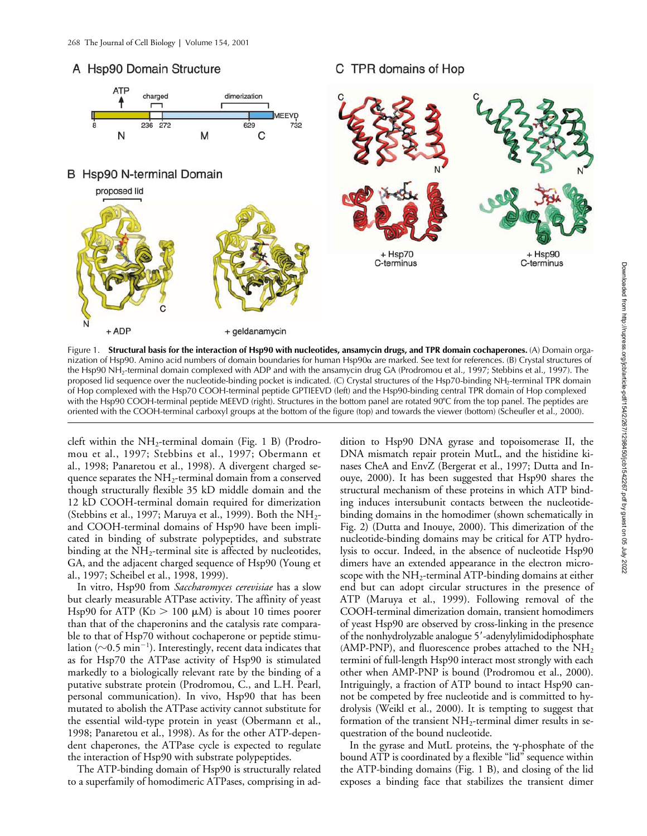## A Hsp90 Domain Structure



C TPR domains of Hop

nization of Hsp90. Amino acid numbers of domain boundaries for human Hsp90α are marked. See text for references. (Β) Crystal structures of the Hsp90 NH2-terminal domain complexed with ADP and with the ansamycin drug GA (Prodromou et al., 1997; Stebbins et al., 1997). The proposed lid sequence over the nucleotide-binding pocket is indicated. (C) Crystal structures of the Hsp70-binding NH<sub>2</sub>-terminal TPR domain of Hop complexed with the Hsp70 COOH-terminal peptide GPTIEEVD (left) and the Hsp90-binding central TPR domain of Hop complexed with the Hsp90 COOH-terminal peptide MEEVD (right). Structures in the bottom panel are rotated 90°C from the top panel. The peptides are oriented with the COOH-terminal carboxyl groups at the bottom of the figure (top) and towards the viewer (bottom) (Scheufler et al., 2000).

cleft within the  $NH_2$ -terminal domain (Fig. 1 B) (Prodromou et al., 1997; Stebbins et al., 1997; Obermann et al., 1998; Panaretou et al., 1998). A divergent charged sequence separates the  $NH<sub>2</sub>$ -terminal domain from a conserved though structurally flexible 35 kD middle domain and the 12 kD COOH-terminal domain required for dimerization (Stebbins et al., 1997; Maruya et al., 1999). Both the  $NH_{2}$ and COOH-terminal domains of Hsp90 have been implicated in binding of substrate polypeptides, and substrate binding at the  $NH_2$ -terminal site is affected by nucleotides, GA, and the adjacent charged sequence of Hsp90 (Young et al., 1997; Scheibel et al., 1998, 1999).

In vitro, Hsp90 from *Saccharomyces cerevisiae* has a slow but clearly measurable ATPase activity. The affinity of yeast Hsp90 for ATP ( $KD > 100 \mu M$ ) is about 10 times poorer than that of the chaperonins and the catalysis rate comparable to that of Hsp70 without cochaperone or peptide stimulation ( $\sim$ 0.5 min<sup>-1</sup>). Interestingly, recent data indicates that as for Hsp70 the ATPase activity of Hsp90 is stimulated markedly to a biologically relevant rate by the binding of a putative substrate protein (Prodromou, C., and L.H. Pearl, personal communication). In vivo, Hsp90 that has been mutated to abolish the ATPase activity cannot substitute for the essential wild-type protein in yeast (Obermann et al., 1998; Panaretou et al., 1998). As for the other ATP-dependent chaperones, the ATPase cycle is expected to regulate the interaction of Hsp90 with substrate polypeptides.

The ATP-binding domain of Hsp90 is structurally related to a superfamily of homodimeric ATPases, comprising in ad-

dition to Hsp90 DNA gyrase and topoisomerase II, the DNA mismatch repair protein MutL, and the histidine kinases CheA and EnvZ (Bergerat et al., 1997; Dutta and Inouye, 2000). It has been suggested that Hsp90 shares the structural mechanism of these proteins in which ATP binding induces intersubunit contacts between the nucleotidebinding domains in the homodimer (shown schematically in Fig. 2) (Dutta and Inouye, 2000). This dimerization of the nucleotide-binding domains may be critical for ATP hydrolysis to occur. Indeed, in the absence of nucleotide Hsp90 dimers have an extended appearance in the electron microscope with the  $NH<sub>2</sub>$ -terminal ATP-binding domains at either end but can adopt circular structures in the presence of ATP (Maruya et al., 1999). Following removal of the COOH-terminal dimerization domain, transient homodimers of yeast Hsp90 are observed by cross-linking in the presence of the nonhydrolyzable analogue 5-adenylylimidodiphosphate (AMP-PNP), and fluorescence probes attached to the  $NH<sub>2</sub>$ termini of full-length Hsp90 interact most strongly with each other when AMP-PNP is bound (Prodromou et al., 2000). Intriguingly, a fraction of ATP bound to intact Hsp90 cannot be competed by free nucleotide and is committed to hydrolysis (Weikl et al., 2000). It is tempting to suggest that formation of the transient  $NH_2$ -terminal dimer results in sequestration of the bound nucleotide.

In the gyrase and MutL proteins, the  $\gamma$ -phosphate of the bound ATP is coordinated by a flexible "lid" sequence within the ATP-binding domains (Fig. 1 B), and closing of the lid exposes a binding face that stabilizes the transient dimer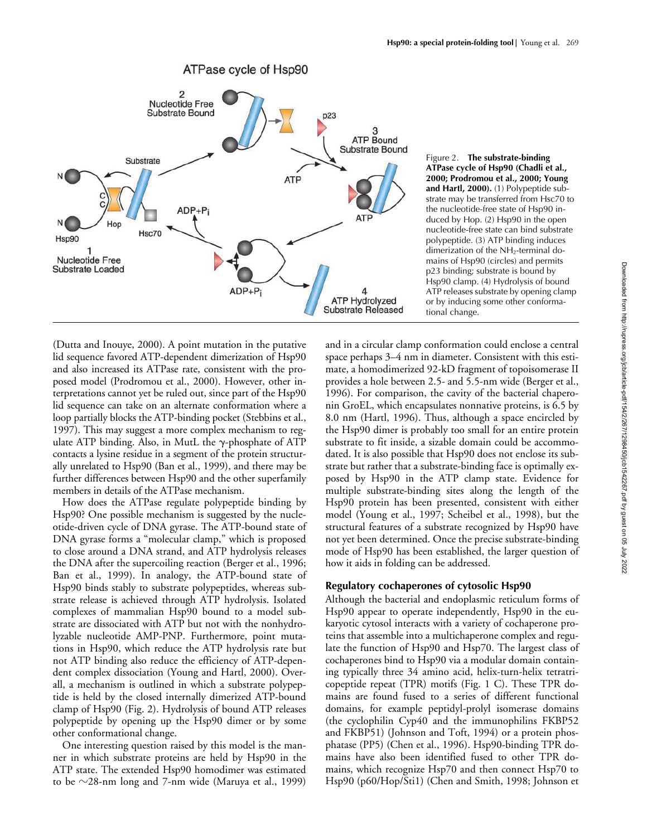

Figure 2. **The substrate-binding ATPase cycle of Hsp90 (Chadli et al., 2000; Prodromou et al., 2000; Young and Hartl, 2000).** (1) Polypeptide substrate may be transferred from Hsc70 to the nucleotide-free state of Hsp90 induced by Hop. (2) Hsp90 in the open nucleotide-free state can bind substrate polypeptide. (3) ATP binding induces dimerization of the NH<sub>2</sub>-terminal domains of Hsp90 (circles) and permits p23 binding; substrate is bound by Hsp90 clamp. (4) Hydrolysis of bound ATP releases substrate by opening clamp or by inducing some other conformational change.

(Dutta and Inouye, 2000). A point mutation in the putative lid sequence favored ATP-dependent dimerization of Hsp90 and also increased its ATPase rate, consistent with the proposed model (Prodromou et al., 2000). However, other interpretations cannot yet be ruled out, since part of the Hsp90 lid sequence can take on an alternate conformation where a loop partially blocks the ATP-binding pocket (Stebbins et al., 1997). This may suggest a more complex mechanism to regulate ATP binding. Also, in MutL the  $\gamma$ -phosphate of ATP contacts a lysine residue in a segment of the protein structurally unrelated to Hsp90 (Ban et al., 1999), and there may be further differences between Hsp90 and the other superfamily members in details of the ATPase mechanism.

How does the ATPase regulate polypeptide binding by Hsp90? One possible mechanism is suggested by the nucleotide-driven cycle of DNA gyrase. The ATP-bound state of DNA gyrase forms a "molecular clamp," which is proposed to close around a DNA strand, and ATP hydrolysis releases the DNA after the supercoiling reaction (Berger et al., 1996; Ban et al., 1999). In analogy, the ATP-bound state of Hsp90 binds stably to substrate polypeptides, whereas substrate release is achieved through ATP hydrolysis. Isolated complexes of mammalian Hsp90 bound to a model substrate are dissociated with ATP but not with the nonhydrolyzable nucleotide AMP-PNP. Furthermore, point mutations in Hsp90, which reduce the ATP hydrolysis rate but not ATP binding also reduce the efficiency of ATP-dependent complex dissociation (Young and Hartl, 2000). Overall, a mechanism is outlined in which a substrate polypeptide is held by the closed internally dimerized ATP-bound clamp of Hsp90 (Fig. 2). Hydrolysis of bound ATP releases polypeptide by opening up the Hsp90 dimer or by some other conformational change.

One interesting question raised by this model is the manner in which substrate proteins are held by Hsp90 in the ATP state. The extended Hsp90 homodimer was estimated to be  $\sim$ 28-nm long and 7-nm wide (Maruya et al., 1999)

and in a circular clamp conformation could enclose a central space perhaps 3–4 nm in diameter. Consistent with this estimate, a homodimerized 92-kD fragment of topoisomerase II provides a hole between 2.5- and 5.5-nm wide (Berger et al., 1996). For comparison, the cavity of the bacterial chaperonin GroEL, which encapsulates nonnative proteins, is 6.5 by 8.0 nm (Hartl, 1996). Thus, although a space encircled by the Hsp90 dimer is probably too small for an entire protein substrate to fit inside, a sizable domain could be accommodated. It is also possible that Hsp90 does not enclose its substrate but rather that a substrate-binding face is optimally exposed by Hsp90 in the ATP clamp state. Evidence for multiple substrate-binding sites along the length of the Hsp90 protein has been presented, consistent with either model (Young et al., 1997; Scheibel et al., 1998), but the structural features of a substrate recognized by Hsp90 have not yet been determined. Once the precise substrate-binding mode of Hsp90 has been established, the larger question of how it aids in folding can be addressed.

#### **Regulatory cochaperones of cytosolic Hsp90**

Although the bacterial and endoplasmic reticulum forms of Hsp90 appear to operate independently, Hsp90 in the eukaryotic cytosol interacts with a variety of cochaperone proteins that assemble into a multichaperone complex and regulate the function of Hsp90 and Hsp70. The largest class of cochaperones bind to Hsp90 via a modular domain containing typically three 34 amino acid, helix-turn-helix tetratricopeptide repeat (TPR) motifs (Fig. 1 C). These TPR domains are found fused to a series of different functional domains, for example peptidyl-prolyl isomerase domains (the cyclophilin Cyp40 and the immunophilins FKBP52 and FKBP51) (Johnson and Toft, 1994) or a protein phosphatase (PP5) (Chen et al., 1996). Hsp90-binding TPR domains have also been identified fused to other TPR domains, which recognize Hsp70 and then connect Hsp70 to Hsp90 (p60/Hop/Sti1) (Chen and Smith, 1998; Johnson et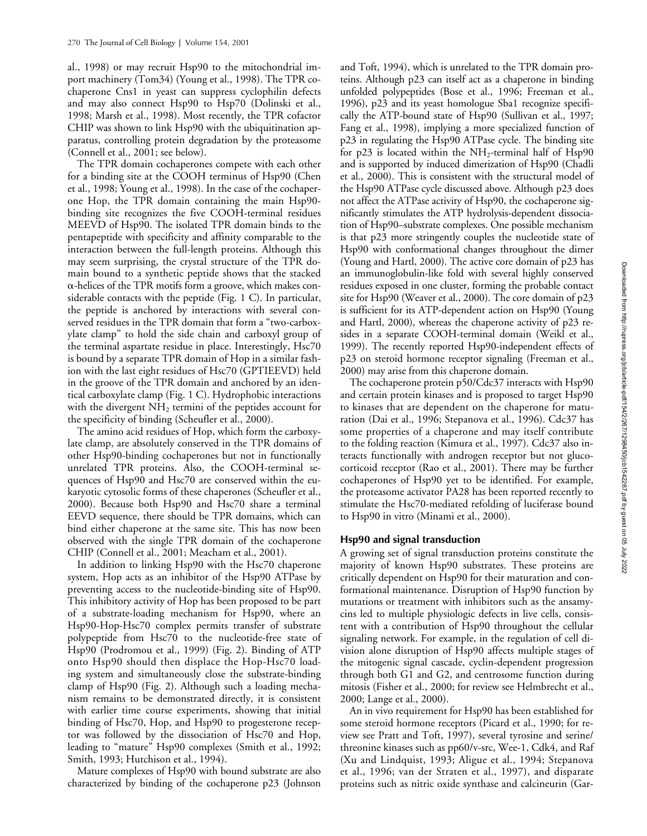al., 1998) or may recruit Hsp90 to the mitochondrial import machinery (Tom34) (Young et al., 1998). The TPR cochaperone Cns1 in yeast can suppress cyclophilin defects and may also connect Hsp90 to Hsp70 (Dolinski et al., 1998; Marsh et al., 1998). Most recently, the TPR cofactor CHIP was shown to link Hsp90 with the ubiquitination apparatus, controlling protein degradation by the proteasome (Connell et al., 2001; see below).

The TPR domain cochaperones compete with each other for a binding site at the COOH terminus of Hsp90 (Chen et al., 1998; Young et al., 1998). In the case of the cochaperone Hop, the TPR domain containing the main Hsp90 binding site recognizes the five COOH-terminal residues MEEVD of Hsp90. The isolated TPR domain binds to the pentapeptide with specificity and affinity comparable to the interaction between the full-length proteins. Although this may seem surprising, the crystal structure of the TPR domain bound to a synthetic peptide shows that the stacked --helices of the TPR motifs form a groove, which makes considerable contacts with the peptide (Fig. 1 C). In particular, the peptide is anchored by interactions with several conserved residues in the TPR domain that form a "two-carboxylate clamp" to hold the side chain and carboxyl group of the terminal aspartate residue in place. Interestingly, Hsc70 is bound by a separate TPR domain of Hop in a similar fashion with the last eight residues of Hsc70 (GPTIEEVD) held in the groove of the TPR domain and anchored by an identical carboxylate clamp (Fig. 1 C). Hydrophobic interactions with the divergent  $NH<sub>2</sub>$  termini of the peptides account for the specificity of binding (Scheufler et al., 2000).

The amino acid residues of Hop, which form the carboxylate clamp, are absolutely conserved in the TPR domains of other Hsp90-binding cochaperones but not in functionally unrelated TPR proteins. Also, the COOH-terminal sequences of Hsp90 and Hsc70 are conserved within the eukaryotic cytosolic forms of these chaperones (Scheufler et al., 2000). Because both Hsp90 and Hsc70 share a terminal EEVD sequence, there should be TPR domains, which can bind either chaperone at the same site. This has now been observed with the single TPR domain of the cochaperone CHIP (Connell et al., 2001; Meacham et al., 2001).

In addition to linking Hsp90 with the Hsc70 chaperone system, Hop acts as an inhibitor of the Hsp90 ATPase by preventing access to the nucleotide-binding site of Hsp90. This inhibitory activity of Hop has been proposed to be part of a substrate-loading mechanism for Hsp90, where an Hsp90-Hop-Hsc70 complex permits transfer of substrate polypeptide from Hsc70 to the nucleotide-free state of Hsp90 (Prodromou et al., 1999) (Fig. 2). Binding of ATP onto Hsp90 should then displace the Hop-Hsc70 loading system and simultaneously close the substrate-binding clamp of Hsp90 (Fig. 2). Although such a loading mechanism remains to be demonstrated directly, it is consistent with earlier time course experiments, showing that initial binding of Hsc70, Hop, and Hsp90 to progesterone receptor was followed by the dissociation of Hsc70 and Hop, leading to "mature" Hsp90 complexes (Smith et al., 1992; Smith, 1993; Hutchison et al., 1994).

Mature complexes of Hsp90 with bound substrate are also characterized by binding of the cochaperone p23 (Johnson

and Toft, 1994), which is unrelated to the TPR domain proteins. Although p23 can itself act as a chaperone in binding unfolded polypeptides (Bose et al., 1996; Freeman et al., 1996), p23 and its yeast homologue Sba1 recognize specifically the ATP-bound state of Hsp90 (Sullivan et al., 1997; Fang et al., 1998), implying a more specialized function of p23 in regulating the Hsp90 ATPase cycle. The binding site for p23 is located within the  $NH_2$ -terminal half of Hsp90 and is supported by induced dimerization of Hsp90 (Chadli et al., 2000). This is consistent with the structural model of the Hsp90 ATPase cycle discussed above. Although p23 does not affect the ATPase activity of Hsp90, the cochaperone significantly stimulates the ATP hydrolysis-dependent dissociation of Hsp90–substrate complexes. One possible mechanism is that p23 more stringently couples the nucleotide state of Hsp90 with conformational changes throughout the dimer (Young and Hartl, 2000). The active core domain of p23 has an immunoglobulin-like fold with several highly conserved residues exposed in one cluster, forming the probable contact site for Hsp90 (Weaver et al., 2000). The core domain of p23 is sufficient for its ATP-dependent action on Hsp90 (Young and Hartl, 2000), whereas the chaperone activity of p23 resides in a separate COOH-terminal domain (Weikl et al., 1999). The recently reported Hsp90-independent effects of p23 on steroid hormone receptor signaling (Freeman et al., 2000) may arise from this chaperone domain.

The cochaperone protein p50/Cdc37 interacts with Hsp90 and certain protein kinases and is proposed to target Hsp90 to kinases that are dependent on the chaperone for maturation (Dai et al., 1996; Stepanova et al., 1996). Cdc37 has some properties of a chaperone and may itself contribute to the folding reaction (Kimura et al., 1997). Cdc37 also interacts functionally with androgen receptor but not glucocorticoid receptor (Rao et al., 2001). There may be further cochaperones of Hsp90 yet to be identified. For example, the proteasome activator PA28 has been reported recently to stimulate the Hsc70-mediated refolding of luciferase bound to Hsp90 in vitro (Minami et al., 2000).

#### **Hsp90 and signal transduction**

A growing set of signal transduction proteins constitute the majority of known Hsp90 substrates. These proteins are critically dependent on Hsp90 for their maturation and conformational maintenance. Disruption of Hsp90 function by mutations or treatment with inhibitors such as the ansamycins led to multiple physiologic defects in live cells, consistent with a contribution of Hsp90 throughout the cellular signaling network. For example, in the regulation of cell division alone disruption of Hsp90 affects multiple stages of the mitogenic signal cascade, cyclin-dependent progression through both G1 and G2, and centrosome function during mitosis (Fisher et al., 2000; for review see Helmbrecht et al., 2000; Lange et al., 2000).

An in vivo requirement for Hsp90 has been established for some steroid hormone receptors (Picard et al., 1990; for review see Pratt and Toft, 1997), several tyrosine and serine/ threonine kinases such as pp60/v-src, Wee-1, Cdk4, and Raf (Xu and Lindquist, 1993; Aligue et al., 1994; Stepanova et al., 1996; van der Straten et al., 1997), and disparate proteins such as nitric oxide synthase and calcineurin (Gar-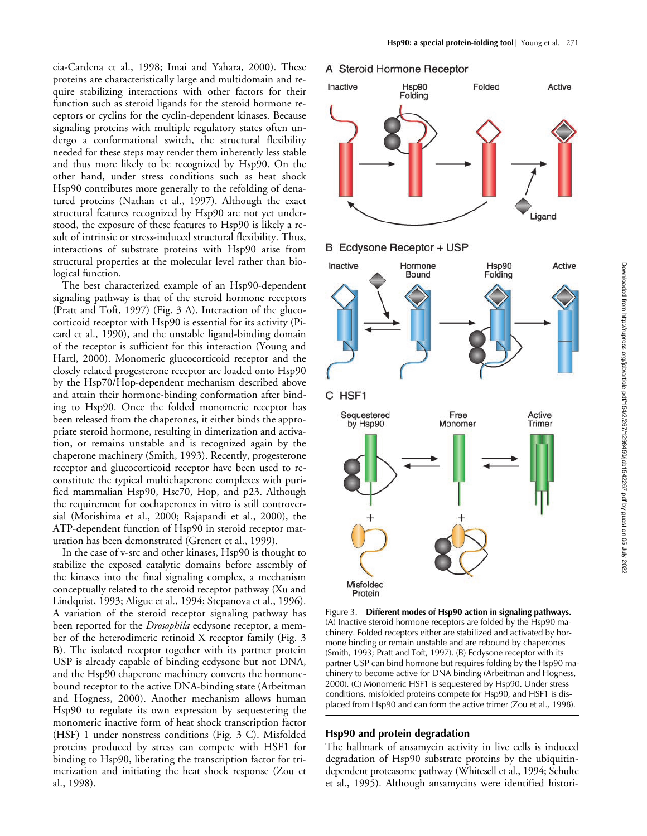cia-Cardena et al., 1998; Imai and Yahara, 2000). These proteins are characteristically large and multidomain and require stabilizing interactions with other factors for their function such as steroid ligands for the steroid hormone receptors or cyclins for the cyclin-dependent kinases. Because signaling proteins with multiple regulatory states often undergo a conformational switch, the structural flexibility needed for these steps may render them inherently less stable and thus more likely to be recognized by Hsp90. On the other hand, under stress conditions such as heat shock Hsp90 contributes more generally to the refolding of denatured proteins (Nathan et al., 1997). Although the exact structural features recognized by Hsp90 are not yet understood, the exposure of these features to Hsp90 is likely a result of intrinsic or stress-induced structural flexibility. Thus, interactions of substrate proteins with Hsp90 arise from structural properties at the molecular level rather than biological function.

The best characterized example of an Hsp90-dependent signaling pathway is that of the steroid hormone receptors (Pratt and Toft, 1997) (Fig. 3 A). Interaction of the glucocorticoid receptor with Hsp90 is essential for its activity (Picard et al., 1990), and the unstable ligand-binding domain of the receptor is sufficient for this interaction (Young and Hartl, 2000). Monomeric glucocorticoid receptor and the closely related progesterone receptor are loaded onto Hsp90 by the Hsp70/Hop-dependent mechanism described above and attain their hormone-binding conformation after binding to Hsp90. Once the folded monomeric receptor has been released from the chaperones, it either binds the appropriate steroid hormone, resulting in dimerization and activation, or remains unstable and is recognized again by the chaperone machinery (Smith, 1993). Recently, progesterone receptor and glucocorticoid receptor have been used to reconstitute the typical multichaperone complexes with purified mammalian Hsp90, Hsc70, Hop, and p23. Although the requirement for cochaperones in vitro is still controversial (Morishima et al., 2000; Rajapandi et al., 2000), the ATP-dependent function of Hsp90 in steroid receptor maturation has been demonstrated (Grenert et al., 1999).

In the case of v-src and other kinases, Hsp90 is thought to stabilize the exposed catalytic domains before assembly of the kinases into the final signaling complex, a mechanism conceptually related to the steroid receptor pathway (Xu and Lindquist, 1993; Aligue et al., 1994; Stepanova et al., 1996). A variation of the steroid receptor signaling pathway has been reported for the *Drosophila* ecdysone receptor, a member of the heterodimeric retinoid X receptor family (Fig. 3 B). The isolated receptor together with its partner protein USP is already capable of binding ecdysone but not DNA, and the Hsp90 chaperone machinery converts the hormonebound receptor to the active DNA-binding state (Arbeitman and Hogness, 2000). Another mechanism allows human Hsp90 to regulate its own expression by sequestering the monomeric inactive form of heat shock transcription factor (HSF) 1 under nonstress conditions (Fig. 3 C). Misfolded proteins produced by stress can compete with HSF1 for binding to Hsp90, liberating the transcription factor for trimerization and initiating the heat shock response (Zou et al., 1998).

#### A Steroid Hormone Receptor







Figure 3. **Different modes of Hsp90 action in signaling pathways.** (A) Inactive steroid hormone receptors are folded by the Hsp90 machinery. Folded receptors either are stabilized and activated by hormone binding or remain unstable and are rebound by chaperones (Smith, 1993; Pratt and Toft, 1997). (B) Ecdysone receptor with its partner USP can bind hormone but requires folding by the Hsp90 machinery to become active for DNA binding (Arbeitman and Hogness, 2000). (C) Monomeric HSF1 is sequestered by Hsp90. Under stress conditions, misfolded proteins compete for Hsp90, and HSF1 is displaced from Hsp90 and can form the active trimer (Zou et al., 1998).

#### **Hsp90 and protein degradation**

The hallmark of ansamycin activity in live cells is induced degradation of Hsp90 substrate proteins by the ubiquitindependent proteasome pathway (Whitesell et al., 1994; Schulte et al., 1995). Although ansamycins were identified histori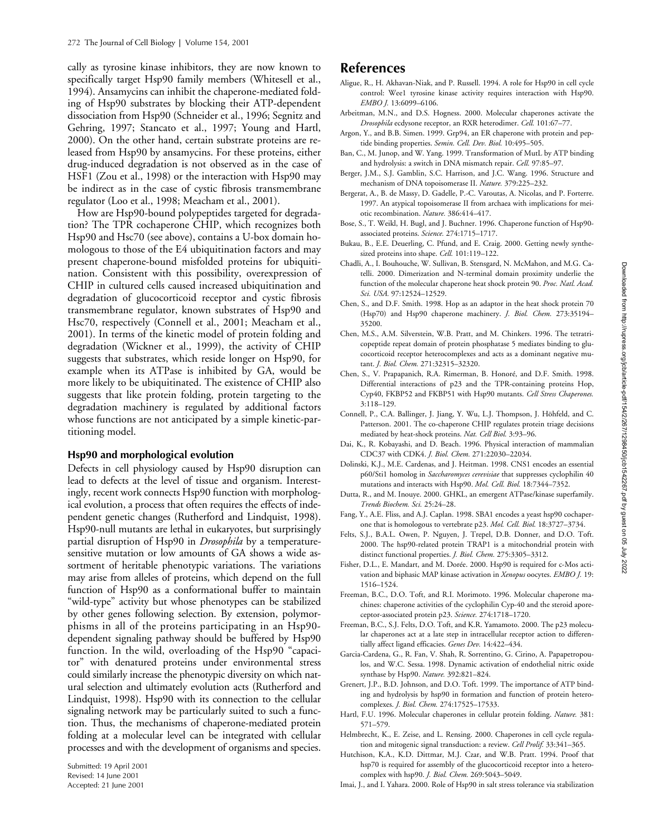cally as tyrosine kinase inhibitors, they are now known to specifically target Hsp90 family members (Whitesell et al., 1994). Ansamycins can inhibit the chaperone-mediated folding of Hsp90 substrates by blocking their ATP-dependent dissociation from Hsp90 (Schneider et al., 1996; Segnitz and Gehring, 1997; Stancato et al., 1997; Young and Hartl, 2000). On the other hand, certain substrate proteins are released from Hsp90 by ansamycins. For these proteins, either drug-induced degradation is not observed as in the case of HSF1 (Zou et al., 1998) or the interaction with Hsp90 may be indirect as in the case of cystic fibrosis transmembrane regulator (Loo et al., 1998; Meacham et al., 2001).

How are Hsp90-bound polypeptides targeted for degradation? The TPR cochaperone CHIP, which recognizes both Hsp90 and Hsc70 (see above), contains a U-box domain homologous to those of the E4 ubiquitination factors and may present chaperone-bound misfolded proteins for ubiquitination. Consistent with this possibility, overexpression of CHIP in cultured cells caused increased ubiquitination and degradation of glucocorticoid receptor and cystic fibrosis transmembrane regulator, known substrates of Hsp90 and Hsc70, respectively (Connell et al., 2001; Meacham et al., 2001). In terms of the kinetic model of protein folding and degradation (Wickner et al., 1999), the activity of CHIP suggests that substrates, which reside longer on Hsp90, for example when its ATPase is inhibited by GA, would be more likely to be ubiquitinated. The existence of CHIP also suggests that like protein folding, protein targeting to the degradation machinery is regulated by additional factors whose functions are not anticipated by a simple kinetic-partitioning model.

#### **Hsp90 and morphological evolution**

Defects in cell physiology caused by Hsp90 disruption can lead to defects at the level of tissue and organism. Interestingly, recent work connects Hsp90 function with morphological evolution, a process that often requires the effects of independent genetic changes (Rutherford and Lindquist, 1998). Hsp90-null mutants are lethal in eukaryotes, but surprisingly partial disruption of Hsp90 in *Drosophila* by a temperaturesensitive mutation or low amounts of GA shows a wide assortment of heritable phenotypic variations. The variations may arise from alleles of proteins, which depend on the full function of Hsp90 as a conformational buffer to maintain "wild-type" activity but whose phenotypes can be stabilized by other genes following selection. By extension, polymorphisms in all of the proteins participating in an Hsp90 dependent signaling pathway should be buffered by Hsp90 function. In the wild, overloading of the Hsp90 "capacitor" with denatured proteins under environmental stress could similarly increase the phenotypic diversity on which natural selection and ultimately evolution acts (Rutherford and Lindquist, 1998). Hsp90 with its connection to the cellular signaling network may be particularly suited to such a function. Thus, the mechanisms of chaperone-mediated protein folding at a molecular level can be integrated with cellular processes and with the development of organisms and species.

Submitted: 19 April 2001 Revised: 14 June 2001 Accepted: 21 June 2001

## **References**

- Aligue, R., H. Akhavan-Niak, and P. Russell. 1994. A role for Hsp90 in cell cycle control: Wee1 tyrosine kinase activity requires interaction with Hsp90. *EMBO J.* 13:6099–6106.
- Arbeitman, M.N., and D.S. Hogness. 2000. Molecular chaperones activate the *Drosophila* ecdysone receptor, an RXR heterodimer. *Cell.* 101:67–77.
- Argon, Y., and B.B. Simen. 1999. Grp94, an ER chaperone with protein and peptide binding properties. *Semin. Cell. Dev. Biol.* 10:495–505.
- Ban, C., M. Junop, and W. Yang. 1999. Transformation of MutL by ATP binding and hydrolysis: a switch in DNA mismatch repair. *Cell.* 97:85–97.
- Berger, J.M., S.J. Gamblin, S.C. Harrison, and J.C. Wang. 1996. Structure and mechanism of DNA topoisomerase II. *Nature.* 379:225–232.
- Bergerat, A., B. de Massy, D. Gadelle, P.-C. Varoutas, A. Nicolas, and P. Forterre. 1997. An atypical topoisomerase II from archaea with implications for meiotic recombination. *Nature.* 386:414–417.
- Bose, S., T. Weikl, H. Bugl, and J. Buchner. 1996. Chaperone function of Hsp90 associated proteins. *Science.* 274:1715–1717.
- Bukau, B., E.E. Deuerling, C. Pfund, and E. Craig. 2000. Getting newly synthesized proteins into shape. *Cell.* 101:119–122.
- Chadli, A., I. Bouhouche, W. Sullivan, B. Stensgard, N. McMahon, and M.G. Catelli. 2000. Dimerization and N-terminal domain proximity underlie the function of the molecular chaperone heat shock protein 90. *Proc. Natl. Acad. Sci. USA.* 97:12524–12529.
- Chen, S., and D.F. Smith. 1998. Hop as an adaptor in the heat shock protein 70 (Hsp70) and Hsp90 chaperone machinery. *J. Biol. Chem.* 273:35194– 35200.
- Chen, M.S., A.M. Silverstein, W.B. Pratt, and M. Chinkers. 1996. The tetratricopeptide repeat domain of protein phosphatase 5 mediates binding to glucocorticoid receptor heterocomplexes and acts as a dominant negative mutant. *J. Biol. Chem.* 271:32315–32320.
- Chen, S., V. Prapapanich, R.A. Rimerman, B. Honoré, and D.F. Smith. 1998. Differential interactions of p23 and the TPR-containing proteins Hop, Cyp40, FKBP52 and FKBP51 with Hsp90 mutants. *Cell Stress Chaperones.* 3:118–129.
- Connell, P., C.A. Ballinger, J. Jiang, Y. Wu, L.J. Thompson, J. Höhfeld, and C. Patterson. 2001. The co-chaperone CHIP regulates protein triage decisions mediated by heat-shock proteins. *Nat. Cell Biol.* 3:93–96.
- Dai, K., R. Kobayashi, and D. Beach. 1996. Physical interaction of mammalian CDC37 with CDK4. *J. Biol. Chem.* 271:22030–22034.
- Dolinski, K.J., M.E. Cardenas, and J. Heitman. 1998. CNS1 encodes an essential p60/Sti1 homolog in *Saccharomyces cerevisiae* that suppresses cyclophilin 40 mutations and interacts with Hsp90. *Mol. Cell. Biol.* 18:7344–7352.
- Dutta, R., and M. Inouye. 2000. GHKL, an emergent ATPase/kinase superfamily. *Trends Biochem. Sci.* 25:24–28.
- Fang, Y., A.E. Fliss, and A.J. Caplan. 1998. SBA1 encodes a yeast hsp90 cochaperone that is homologous to vertebrate p23. *Mol. Cell. Biol.* 18:3727–3734.
- Felts, S.J., B.A.L. Owen, P. Nguyen, J. Trepel, D.B. Donner, and D.O. Toft. 2000. The hsp90-related protein TRAP1 is a mitochondrial protein with distinct functional properties. *J. Biol. Chem.* 275:3305–3312.
- Fisher, D.L., E. Mandart, and M. Dorée. 2000. Hsp90 is required for c-Mos activation and biphasic MAP kinase activation in *Xenopus* oocytes. *EMBO J.* 19: 1516–1524.
- Freeman, B.C., D.O. Toft, and R.I. Morimoto. 1996. Molecular chaperone machines: chaperone activities of the cyclophilin Cyp-40 and the steroid aporeceptor-associated protein p23. *Science.* 274:1718–1720.
- Freeman, B.C., S.J. Felts, D.O. Toft, and K.R. Yamamoto. 2000. The p23 molecular chaperones act at a late step in intracellular receptor action to differentially affect ligand efficacies. *Genes Dev.* 14:422–434.
- Garcia-Cardena, G., R. Fan, V. Shah, R. Sorrentino, G. Cirino, A. Papapetropoulos, and W.C. Sessa. 1998. Dynamic activation of endothelial nitric oxide synthase by Hsp90. *Nature.* 392:821–824.
- Grenert, J.P., B.D. Johnson, and D.O. Toft. 1999. The importance of ATP binding and hydrolysis by hsp90 in formation and function of protein heterocomplexes. *J. Biol. Chem.* 274:17525–17533.
- Hartl, F.U. 1996. Molecular chaperones in cellular protein folding. *Nature.* 381: 571–579.
- Helmbrecht, K., E. Zeise, and L. Rensing. 2000. Chaperones in cell cycle regulation and mitogenic signal transduction: a review. *Cell Prolif.* 33:341–365.
- Hutchison, K.A., K.D. Dittmar, M.J. Czar, and W.B. Pratt. 1994. Proof that hsp70 is required for assembly of the glucocorticoid receptor into a heterocomplex with hsp90. *J. Biol. Chem.* 269:5043–5049.
- Imai, J., and I. Yahara. 2000. Role of Hsp90 in salt stress tolerance via stabilization